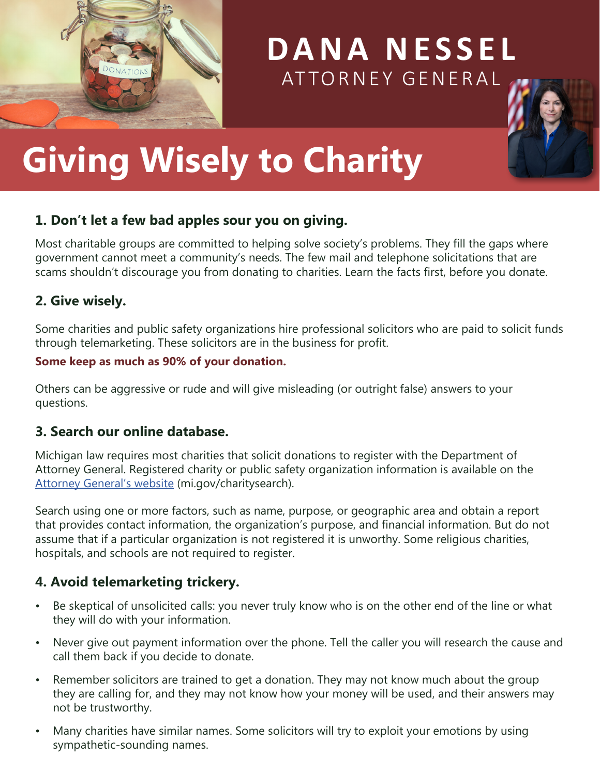

# **DANA NESSEL** ATTORNEY GENERAL



# **Giving Wisely to Charity**

#### **1. Don't let a few bad apples sour you on giving.**

Most charitable groups are committed to helping solve society's problems. They fill the gaps where government cannot meet a community's needs. The few mail and telephone solicitations that are scams shouldn't discourage you from donating to charities. Learn the facts first, before you donate.

#### **2. Give wisely.**

Some charities and public safety organizations hire professional solicitors who are paid to solicit funds through telemarketing. These solicitors are in the business for profit.

#### **Some keep as much as 90% of your donation.**

Others can be aggressive or rude and will give misleading (or outright false) answers to your questions.

#### **3. Search our online database.**

Michigan law requires most charities that solicit donations to register with the Department of Attorney General. Registered charity or public safety organization information is available on the [Attorney General's website](https://www.michigan.gov/agcharitysearch) (mi.gov/charitysearch).

Search using one or more factors, such as name, purpose, or geographic area and obtain a report that provides contact information, the organization's purpose, and financial information. But do not assume that if a particular organization is not registered it is unworthy. Some religious charities, hospitals, and schools are not required to register.

#### **4. Avoid telemarketing trickery.**

- Be skeptical of unsolicited calls: you never truly know who is on the other end of the line or what they will do with your information.
- Never give out payment information over the phone. Tell the caller you will research the cause and call them back if you decide to donate.
- Remember solicitors are trained to get a donation. They may not know much about the group they are calling for, and they may not know how your money will be used, and their answers may not be trustworthy.
- Many charities have similar names. Some solicitors will try to exploit your emotions by using sympathetic-sounding names.